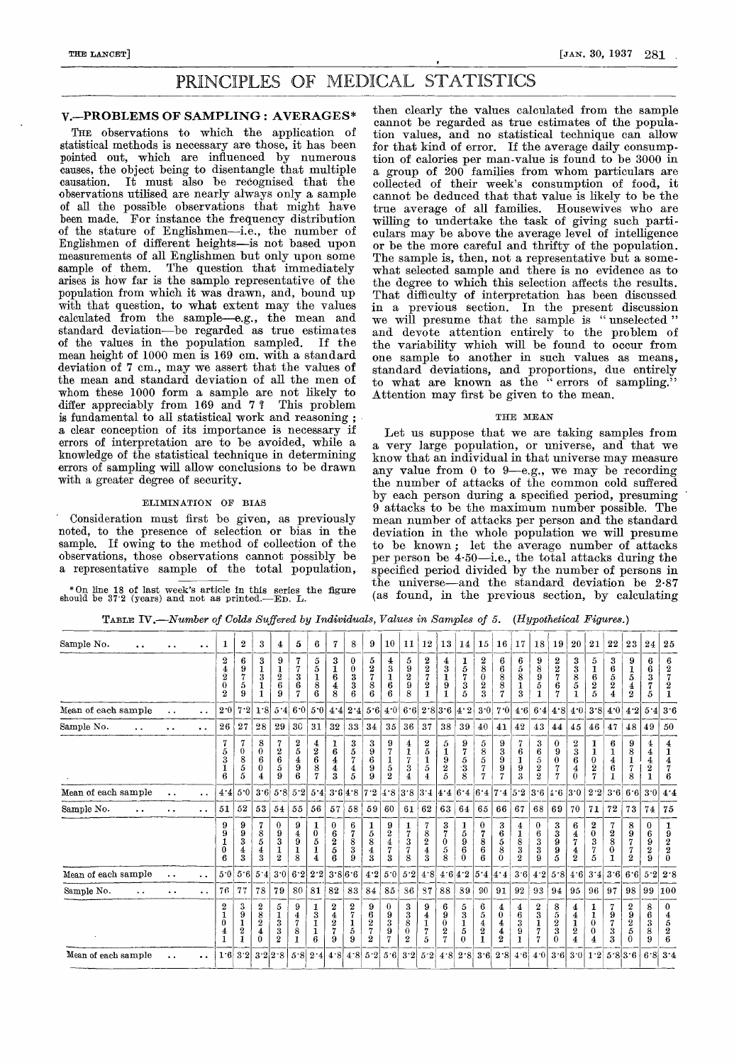# PRINCIPLES OF MEDICAL STATISTICS

### V.—PROBLEMS OF SAMPLING : AVERAGES\*

THE observations to which the application of statistical methods is necessary are those, it has been pointed out, which are influenced by numerous causes, the object being to disentangle that multiple causation. It must also be recognised that the observations utilised are nearly always only a sample of all the possible observations that might have been made. For instance the frequency distribution of the stature of Englishmen-i.e., the number of Englishmen of different heights-is not based upon measurements of all Englishmen but only upon some sample of them. The question that immediately arises is how far is the sample representative of the population from which it was drawn, and, bound up with that question, to what extent may the values calculated from the sample-e.g., the mean and standard deviation-be regarded as true estimates<br>of the values in the population sampled. If the of the values in the population sampled. mean height of 1000 men is 169 cm. with a standard deviation of 7 cm., may we assert that the values of the mean and standard deviation of all the men of whom these 1000 form a sample are not likely to differ appreciably from 169 and 7? This problem differ appreciably from  $169$  and  $7$  ? is fundamental to all statistical work and reasoning ; a clear conception of its importance is necessary if errors of interpretation are to be avoided, while a errors of sampling will allow conclusions to be drawn with a greater degree of security.

#### ELIMINATION OF BIAS

, Consideration must first be given, as previously noted, to the presence of selection or bias in the sample. If owing to the method of collection of the observations, those observations cannot possibly be a representative sample of the total population,

\* On line 18 of last week's article in this series the figure should be 37'2 (years) and not as printed.—ED. L.

then clearly the values calculated from the sample cannot be regarded as true estimates of the population values, and no statistical technique can allow for that kind of error. If the average daily consumption of calories per man-value is found to be 3000 in a group of 200 families from whom particulars are collected of their week's consumption of food, it cannot be deduced that that value is likely to be the true average of all families. Housewives who are willing to undertake the task of giving such particulars may be above the average level of intelligence or be the more careful and thrifty of the population. The sample is, then, not a representative but a somewhat selected sample and there is no evidence as to the degree to which this selection affects the results. That difficulty of interpretation has been discussed in a previous section. In the present discussion we will presume that the sample is " unselected " and devote attention entirely to the problem of the variability which will be found to occur from one sample to another in such values as means, standard deviations, and proportions, due entirely to what are known as the " errors of sampling." Attention may first be given to the mean.

#### THE MEAN

Let us suppose that we are taking samples from a very large population, or universe, and that we know that an individual in that universe may measure any value from  $0$  to  $9$ —e.g., we may be recording the number of attacks of the common cold suffered by each person during a specified period, presuming 9 attacks to be the maximum number possible. The mean number of attacks per person and the standard deviation in the whole population we will presume to be known ; let the average number of attacks per person be 4.50-i.e., the total attacks during the specified period divided by the number of persons in the universe-and the standard deviation be 2.87 (as found, in the previous section, by calculating

TABLE IV.—Number of Colds Suffered by Individuals, Values in Samples of 5. (Hypothetical Figures.)

| Sample No.<br>$\ddot{\phantom{a}}$ | $\ddot{\phantom{1}}$ | $\ddot{\phantom{a}}$ | 1                                                                  | $\boldsymbol{2}$        | 3                                                  | 4                                                                 | 5                            | 6                       | 7                                          | 8                              | 9                            | 10                                            | 11                                   | 12                                                          | 13                      | 14                    | 15                                        | 16                                                       | 17                      | 18                                   | 19                                   | 20                                                                | 21                              | $\bf{22}$                        | 23                                     | 24                                                         | 25                                               |
|------------------------------------|----------------------|----------------------|--------------------------------------------------------------------|-------------------------|----------------------------------------------------|-------------------------------------------------------------------|------------------------------|-------------------------|--------------------------------------------|--------------------------------|------------------------------|-----------------------------------------------|--------------------------------------|-------------------------------------------------------------|-------------------------|-----------------------|-------------------------------------------|----------------------------------------------------------|-------------------------|--------------------------------------|--------------------------------------|-------------------------------------------------------------------|---------------------------------|----------------------------------|----------------------------------------|------------------------------------------------------------|--------------------------------------------------|
|                                    |                      |                      | $\boldsymbol{2}$<br>$\overline{2}$<br>$\Omega$<br>$\boldsymbol{2}$ | 6<br>9<br>5<br>9        | 3<br>3                                             | 9<br>$\overline{2}$<br>6<br>9                                     | 7<br>3<br>6<br>7             | $\frac{5}{5}$<br>8<br>6 | 3<br>6<br>4<br>8                           | 0<br>3<br>3<br>6               | $\frac{5}{2}$<br>7<br>8<br>6 | $\frac{4}{3}$<br>1<br>6<br>В                  | 5<br>9<br>$\boldsymbol{2}$<br>9<br>8 | $\frac{2}{2}$<br>$\overline{2}$<br>1                        | $\frac{4}{3}$<br>9      | $\frac{1}{5}$<br>3    | $\frac{2}{8}$<br>0<br>$\overline{2}$<br>3 | $\begin{smallmatrix} 6 \\ 6 \\ 8 \end{smallmatrix}$<br>8 | 6<br>$\frac{5}{8}$<br>3 | $\frac{9}{8}$<br>9<br>5              | $\frac{2}{2}$<br>7<br>6              | 3<br>3<br>8<br>5                                                  | 5<br>6<br>$\boldsymbol{2}$<br>5 | 3<br>6<br>5<br>2<br>4            | 9<br>5<br>4<br>$\bf{2}$                | 6<br>6<br>3                                                | $\frac{6}{2}$<br>$\boldsymbol{2}$<br>1           |
| Mean of each sample                | $\ddot{\phantom{a}}$ | $\ddot{\phantom{a}}$ | 2.0                                                                | 7.2                     | 1.8                                                | 5.4                                                               | 6.0                          | 5.0                     | 4.4                                        | 2.4                            | 5.6                          | 4.0                                           | 6.6                                  |                                                             | 2.8 3.6                 | 4.2                   | 3.0                                       | 7.0                                                      | 4.6                     | 6.4                                  | 4.8                                  | 4.0                                                               | 3.8                             | 4.0                              | 4.2                                    | 5.4                                                        | 3.6                                              |
| Sample No.<br>$\ddot{\phantom{1}}$ | . .                  | $\ddot{\phantom{0}}$ | 26                                                                 | 27                      | 28                                                 | 29                                                                | 30                           | 31                      | 32                                         | 33                             | 34                           | 35                                            | 36                                   | 37                                                          | 38                      | 39                    | 40                                        | 41                                                       | 42                      | 43                                   | 44                                   | 45                                                                | 46                              | 47                               | 48                                     | 49                                                         | 50                                               |
|                                    |                      |                      | 5<br>В                                                             | $\theta$<br>8<br>5<br>5 | 8<br>$\mathbf{0}$<br>6<br>0<br>4                   | 2<br>6                                                            | 2<br>5<br>4<br>9             | $\frac{4}{2}$<br>6<br>8 | $\frac{1}{6}$<br>4<br>$\frac{4}{3}$        | $\frac{3}{5}$<br>$\frac{4}{5}$ | 3<br>9<br>6<br>9<br>9        | 9<br>1<br>5<br>2                              | 4<br>1<br>7<br>3                     | $\frac{2}{5}$<br>1<br>5                                     | 5<br>1<br>9<br>2        | 9<br>7<br>5<br>3<br>8 | 5<br>$\frac{8}{5}$<br>7<br>7              | 9<br>$\frac{3}{9}$<br>9                                  | 6<br>1<br>9<br>3        | 3<br>6<br>5<br>2<br>$\boldsymbol{2}$ | 0<br>9<br>$\bf{0}$<br>7              | 2<br>$\overline{\mathbf{3}}$<br>$\boldsymbol{6}$<br>4<br>$\Omega$ | $\Omega$<br>7                   | 6.<br>4<br>6<br>1                | 9<br>8<br>1<br>8                       | $\overline{\mathbf{f}}$<br>$\bf{4}$<br>4<br>$\overline{2}$ | 4<br>6                                           |
| Mean of each sample                | $\ddot{\phantom{0}}$ | $\ddot{\phantom{a}}$ | 4.4                                                                | 5.0                     | 3.6                                                | 5.8                                                               | 5.2                          | 5.4                     |                                            | 3.64.8                         | $ 7 \cdot 2 $                | 4.8                                           | 3.8                                  |                                                             | 3.4  4.4  6.4           |                       | 6.4                                       | 7.4 5.2                                                  |                         | 3.6                                  | $\pm 6$                              | 3.0                                                               | 2.2                             | 3.6                              | 6.6                                    | 3.0                                                        | 4.4                                              |
| Sample No.<br>$\ddot{\phantom{0}}$ | . .                  | $\ddot{\phantom{0}}$ | 51                                                                 | 52                      | 53                                                 | 54                                                                | 55                           | 56                      | 57                                         | 58                             | 59                           | 60                                            | 61                                   | 62                                                          | 63                      | 64                    | 65                                        | 66                                                       | 67                      | 68                                   | 69                                   | 70                                                                | 71                              | 72                               | 73                                     | 74                                                         | 75                                               |
|                                    |                      |                      | 9<br>9<br>0<br>в                                                   | 9<br>9<br>3<br>3        | 8<br>5<br>4<br>3                                   | $\theta$<br>9<br>$\overline{\mathbf{3}}$<br>1<br>$\boldsymbol{2}$ | 9<br>$\frac{4}{9}$<br>1<br>8 | 1<br>$\theta$<br>5<br>1 | $\bf{0}$<br>$\frac{6}{2}$<br>5<br>ĥ.       | 6<br>8<br>3<br>9               | $\frac{5}{8}$<br>4<br>3      | 9<br>$\overline{2}$<br>4<br>7<br>$\mathbf{a}$ | 7<br>3<br>8                          | 7<br>$\begin{smallmatrix} 8\\2 \end{smallmatrix}$<br>4<br>3 | 3<br>0<br>5<br>8        | 5<br>9<br>6<br>0      | 0<br>8<br>6<br>6                          | 3<br>6<br>5<br>8                                         | 8<br>3<br>9.            | 0<br>6<br>3<br>3<br>a                | 3<br>3<br>9<br>9<br>5                | 6<br>4<br>7<br>4<br>$\boldsymbol{\Omega}$                         | $\boldsymbol{2}$<br>0<br>3<br>5 | $\boldsymbol{2}$<br>8<br>0<br>1. | 8<br>9<br>7<br>7<br>2                  | $\bf{0}$<br>6<br>9<br>$\boldsymbol{2}$<br>$\mathbf{Q}$     | $\tilde{9}$<br>$\boldsymbol{2}$<br>2<br>$\Omega$ |
| Mean of each sample                | $\ddot{\phantom{0}}$ | $\ddot{\phantom{0}}$ | 5.0                                                                | 5.6                     | 5.4                                                | 3.0                                                               | 6.2                          | 2.3                     | 3.8 0.6                                    |                                | $4\, \cdot 2$                | 5.0                                           | 5.2                                  | 4.8                                                         | 4.6 4.2                 |                       | $5\,{}^\circ 4$                           | 4.4                                                      | 3.6                     | 4.2                                  | 5.8                                  | 4.6                                                               | $3\,$ $4\,$                     | 3.6                              | 6.6                                    | 5.2                                                        | 2.8                                              |
| Sample No.<br>$\ddot{\phantom{a}}$ | $\ddot{\phantom{a}}$ | $\ddot{\phantom{a}}$ | 76                                                                 | 77                      | 78                                                 | 79                                                                | 80                           | 81                      | 82                                         | 83                             | 84                           | 85                                            | 36                                   | 37                                                          | 88                      | 39                    | 90                                        | 91                                                       | 92                      | 93                                   | 94                                   | 95                                                                | 96                              | 97                               | 98                                     | 99                                                         | 100                                              |
|                                    |                      |                      | $\boldsymbol{2}$                                                   | 3<br>9<br>2             | 2<br>$\frac{8}{2}$<br>$\overline{\mathbf{4}}$<br>0 | 5<br>1<br>3<br>3<br>$\boldsymbol{2}$                              | 9<br>$\frac{4}{7}$<br>8<br>1 | 3<br>1<br>ĥ             | 2<br>$\bf 4$<br>$\boldsymbol{2}$<br>7<br>9 | 2<br>1<br>5<br>9               | 9<br>$\frac{6}{2}$<br>7<br>2 | 0.<br>9<br>3<br>9<br>7                        | 3<br>3<br>8<br>0<br>$^{2}$           | 9<br>4<br>1<br>$\overline{7}$<br>5                          | 6<br>9<br>$\bf{0}$<br>2 | 5<br>3<br>1<br>5      | 6<br>5<br>4<br>$\boldsymbol{2}$<br>1      | 4<br>$\bf{0}$<br>4<br>4<br>$\Omega$                      | 6<br>3<br>9             | 2<br>3<br>1<br>7                     | 8<br>5<br>$\boldsymbol{2}$<br>3<br>0 | 4<br>4<br>1<br>$\bf 2$<br>4                                       | $\theta$<br>0                   | 9<br>3<br>3                      | $\frac{2}{9}$<br>$\boldsymbol{2}$<br>5 | 8<br>6<br>3<br>8<br>9                                      | $\bf{0}$<br>$\frac{4}{5}$<br>$\frac{2}{6}$       |
| Mean of each sample                | $\ddot{\phantom{0}}$ | . .                  | 1.6                                                                | 3.2                     | 3.2 2.8                                            |                                                                   | 5.8                          | 2.4                     | 4.8                                        | 4.8                            | 5.2                          | 5.6                                           | 3.2                                  | 5.2                                                         | 4.8                     | 2.8                   | 3.6                                       | 2.8                                                      | 4.6                     | 4.01                                 | 3.6                                  | 3.0                                                               | 1.2                             | 5.813.6                          |                                        | 6.8                                                        | 3.4                                              |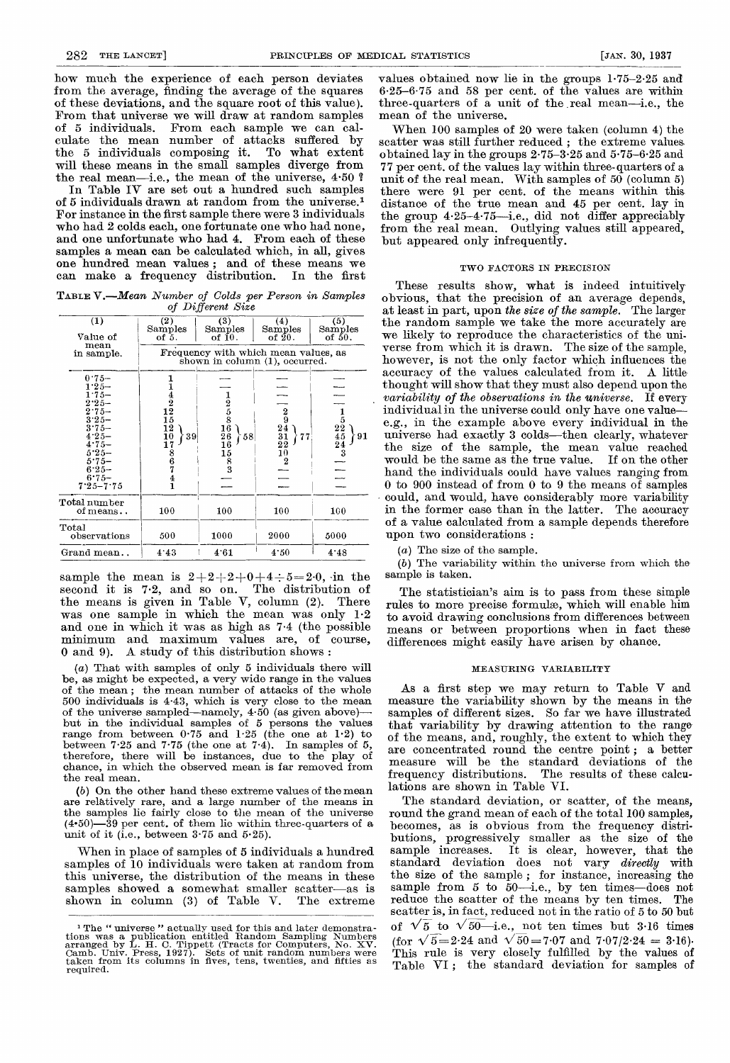how much the experience of each person deviates from the average, finding the average of the squares of these deviations, and the square root of this value). From that universe we will draw at random samples of 5 individuals. From each sample we can calculate the mean number of attacks suffered by the 5 individuals composing it. To what extent will these means in the small samples diverge from the real mean-i.e., the mean of the universe, 4.50 ?

In Table IV are set out a hundred such samples of 5 individuals drawn at random from the universe.1 For instance in the first sample there were 3 individuals who had 2 colds each, one fortunate one who had none, and one unfortunate who had 4. From each of these one hundred mean values; and of these means we can make a frequency distribution. In the first can make a frequency distribution.

TABLE V.-Mean Number of Colds per Person in Samples of Different Size

| (1)<br>Value of                                                                                                                                                           | (2)<br>Samples<br>of 5.                                                                                         | (3)<br>Samples<br>of $10$ .                                                                 | (4)<br>Samples<br>of $20.$                                           | (5)<br>Samples<br>of 50.                                          |  |  |  |  |  |  |  |
|---------------------------------------------------------------------------------------------------------------------------------------------------------------------------|-----------------------------------------------------------------------------------------------------------------|---------------------------------------------------------------------------------------------|----------------------------------------------------------------------|-------------------------------------------------------------------|--|--|--|--|--|--|--|
| mean<br>in sample.                                                                                                                                                        | Frequency with which mean values, as<br>shown in column (1), occurred.                                          |                                                                                             |                                                                      |                                                                   |  |  |  |  |  |  |  |
| $0.75 -$<br>$1.25 -$<br>$1.75 -$<br>$2.25 -$<br>$2.75 -$<br>$3.25 -$<br>$3.75 -$<br>$4.25 -$<br>$4.75 -$<br>$5.25 -$<br>$5.75 -$<br>$6.25 -$<br>$6.75 -$<br>$7.25 - 7.75$ | $\begin{array}{c} 1 \ 4 \ 2 \ 12 \end{array}$<br>15<br>12<br>39<br>$^{10}_{17}$<br>$^8_6$<br>7<br>$\frac{4}{1}$ | $\begin{smallmatrix}1\2\5\0\8\16\end{smallmatrix}$<br>26<br>58<br>16<br>15<br>$\frac{8}{3}$ | $\frac{2}{9}$<br>$\frac{24}{31}$<br>77<br>22<br>10<br>$\overline{2}$ | 5<br>22<br>$\begin{array}{c} 4\,5 \\ 2\,4 \\ 3 \end{array}$<br>91 |  |  |  |  |  |  |  |
| Total number<br>of means                                                                                                                                                  | 100                                                                                                             | 100                                                                                         | 100                                                                  | 100                                                               |  |  |  |  |  |  |  |
| Total<br>observations                                                                                                                                                     | 500                                                                                                             | 1000                                                                                        | 2000                                                                 | 5000                                                              |  |  |  |  |  |  |  |
| Grand mean                                                                                                                                                                | 4.43                                                                                                            | 4.61                                                                                        | 4.50                                                                 | 4.48                                                              |  |  |  |  |  |  |  |

sample the mean is  $2+2+2+0+4-5=2.0$ , in the second it is 7-2, and so on. The distribution of the means is given in Table V, column (2). There was one sample in which the mean was only 1.2 and one in which it was as high as 7.4 (the possible minimum and maximum values are, of course, 0 and 9). A study of this distribution shows: A study of this distribution shows :

(a) That with samples of only 5 individuals there will be, as might be expected, a very wide range in the values of the mean ; the mean number of attacks of the whole 500 individuals is 4-43, which is very close to the mean of the universe sampled—namely,  $4.50$  (as given above) but in the individual samples of 5 persons the values range from between  $0.75$  and  $1.25$  (the one at  $1.2$ ) to between  $7.25$  and  $7.75$  (the one at  $7.4$ ). In samples of  $5$ , therefore, there will be instances, due to the play of chance, in which the observed mean is far removed from the real mean.

(b) On the other hand these extreme values of the mean are relatively rare, and a large number of the means in the samples lie fairly close to the mean of the universe  $(4.50)$ — $\overline{3}9$  per cent. of them lie within three-quarters of a unit of it (i.e., between  $3.75$  and  $5.25$ ).

When in place of samples of 5 individuals a hundred samples of 10 individuals were taken at random from this universe, the distribution of the means in these samples showed a somewhat smaller scatter—as is samples showed a somewhat smaller scatter-as is<br>shown in column (3) of Table V. The extreme shown in column  $(3)$  of Table V.

values obtained now lie in the groups 1-75-2-25 and 6-25-6-75 and 58 per cent. of the values are within three-quarters of a unit of the real mean-i.e., the mean of the universe.

When 100 samples of 20 were taken (column 4) the scatter was still further reduced ; the extreme values obtained lay in the groups 2-75-3-25 and 5-75-6-25 and 77 per cent. of the values lay within three-quarters of a unit of the real mean. With samples of 50 (column 5) there were 91 per cent. of the means within this distance of the true mean and 45 per cent. lay in the group 4-25-4-75—i.e., did not differ appreciably from the real mean. Outlying values still appeared, but appeared only infrequently.

#### TWO FACTORS IN PRECISION

These results show, what is indeed intuitively obvious, that the precision of an average depends, at least in part, upon the size of the sample. The larger the random sample we take the more accurately are we likely to reproduce the characteristics of the universe from which it is drawn. The size of the sample, however, is not the only factor which influences the accuracy of the values calculated from it. A little thought will show that they must also depend upon the variability of the observations in the universe. If every individual in the universe could only have one valuee.g., in the example above every individual in the universe had exactly 3 colds-then clearly, whatever the size of the sample, the mean value reached would be the same as the true value. If on the other hand the individuals could have values ranging from 0 to 900 instead of from 0 to 9 the means of samples could, and would, have considerably more variability in the former case than in the latter. The accuracy of a value calculated from a sample depends therefore upon two considerations :

(a) The size of the sample.

(b) The variability within the universe from which the sample is taken.

The statistician's aim is to pass from these simple rules to more precise formulse, which will enable him to avoid drawing conclusions from differences between means or between proportions when in fact these differences might easily have arisen by chance.

#### MEASURING VARIABILITY

As a first step we may return to Table V and measure the variability shown by the means in the samples of different sizes. So far we have illustrated that variability by drawing attention to the range of the means, and, roughly, the extent to which they are concentrated round the centre point; a better measure will be the standard deviations of the frequency distributions. The results of these calculations are shown in Table VI.

The standard deviation, or scatter, of the means, round the grand mean of each of the total 100 samples, becomes, as is obvious from the frequency distributions, progressively smaller as the size of the sample increases. It is clear, however, that the standard deviation does not vary *directly* with the size of the sample ; for instance, increasing the sample from  $5$  to  $50$ -i.e., by ten times-does not reduce the scatter of the means by ten times. The scatter is, in fact, reduced not in the ratio of 5 to 50 but of  $\sqrt{5}$  to  $\sqrt{50}$ —i.e., not ten times but 3.16 times (for  $\sqrt{5}=2.24$  and  $\sqrt{50}=7.07$  and  $7.07/2.24 = 3.16$ ). This rule is very closely fulfilled by the values of Table VI; the standard deviation for samples of

<sup>&</sup>lt;sup>1</sup> The "universe " actually used for this and later demonstrations was a publication entitled Random Sampling Numbers, No. XIV, The C. Tippett (Tracts for Computers, No. XIV, Camb. Univ. Press, 1927). Sets of unit random required.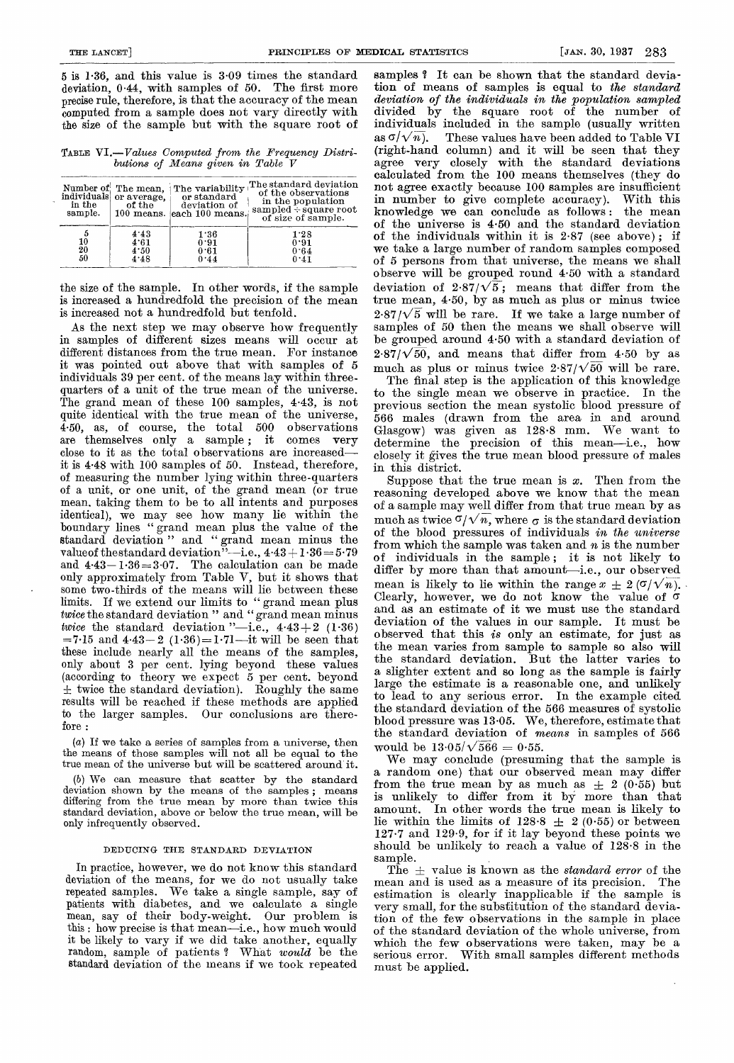5 is 1-36, and this value is 3.09 times the standard deviation, 0-44, with samples of 50. The first more precise rule, therefore, is that the accuracy of the mean computed from a sample does not vary directly with the size of the sample but with the square root of

TABLE VI.-Values Computed from the Frequency Distributions of Means given in Table  $V$ 

| in the<br>sample.          | individuals or average,<br>$\,$ of the | Number of The mean, The variability<br>or standard<br>deviation of<br>$100$ means. each $100$ means. | The standard deviation<br>of the observations<br>in the population<br>$sampled \div square root$<br>of size of sample. |  |  |  |  |  |
|----------------------------|----------------------------------------|------------------------------------------------------------------------------------------------------|------------------------------------------------------------------------------------------------------------------------|--|--|--|--|--|
| 5<br>10<br>$\frac{20}{50}$ | 4.43<br>4.61<br>4.50<br>4.48           | 1:36<br>0.91<br>0.61<br>0.44                                                                         | 1.28<br>0.91<br>0.64<br>0.41                                                                                           |  |  |  |  |  |

the size of the sample. In other words, if the sample is increased a hundredfold the precision of the mean is increased not a hundredfold but tenfold.

As the next step we may observe how frequently in samples of different sizes means will occur at different distances from the true mean. For instance it was pointed out above that with samples of 5 individuals 39 per cent. of the means lay within threequarters of a unit of the true mean of the universe. The grand mean of these 100 samples, 4.43, is not quite identical with the true mean of the universe, 4-50, as, of course, the total 500 observations are themselves only a sample; it comes very close to it as the total observations are increasedit is 4-48 with 100 samples of 50. Instead, therefore, of measuring the number lying within three-quarters of a unit, or one unit, of the grand mean (or true mean. taking them to be to all intents and purposes identical), we may see how many lie within the boundary lines " grand mean plus the value of the standard deviation" and " grand mean minus the value of the standard deviation "—1.e.,  $4.43 + 1.36 = 5.79$ and  $4.43-1.36=3.07$ . The calculation can be made only approximately from Table V, but it shows that some two-thirds of the means will lie between these limits. If we extend our limits to " grand mean plus twice the standard deviation " and " grand mean minus twice the standard deviation "-i.e.,  $4.43+2$  (1.36)  $=7.15$  and  $4.43-2$   $(1.36)=1.71$ —it will be seen that these include nearly all the means of the samples, only about 3 per cent. lying beyond these values (according to theory we expect 5 per cent. beyond  $\pm$  twice the standard deviation). Roughly the same results will be reached if these methods are applied to the larger samples. Our conclusions are therefore :

(a) If we take a series of samples from a universe, then the means of those samples will not all be equal to the true mean of the universe but will be scattered around it.

(b) We can measure that scatter by the standard deviation shown by the means of the samples ; means differing from the true mean by more than twice this standard deviation, above or below the true mean, will be only infrequently observed.

#### DEDUCING THE STANDARD DEVIATION

In practice, however, we do not know this standard deviation of the means, for we do not usually take repeated samples. We take a single sample, say of patients with diabetes, and we calculate a single mean, say of their body-weight. Our problem is this : how precise is that mean-i.e., how much would it be likely to vary if we did take another, equally random, sample of patients ? What would be the standard deviation of the means if we took repeated

samples ? It can be shown that the standard deviation of means of samples is equal to the standard deviation of the individuals in the population sampled divided by the square root of the number of individuals included in the sample (usually written as  $\sigma/\sqrt{n}$ ). These values have been added to Table VI These values have been added to Table VI (right-hand column) and it will be seen that they agree very closely with the standard deviations calculated from the 100 means themselves (they do not agree exactly because 100 samples are insufficient in number to give complete accuracy). With this knowledge we can conclude as follows : the mean of the universe is 4.50 and the standard deviation of the individuals within it is  $2.87$  (see above); if we take a large number of random samples composed of 5 persons from that universe, the means we shall observe will be grouped round 4.50 with a standard deviation of  $2.87/\sqrt{5}$ ; means that differ from the true mean, 4-50, by as much as plus or minus twice  $2.87/\sqrt{5}$  will be rare. If we take a large number of samples of 50 then the means we shall observe will be grouped around 4.50 with a standard deviation of  $2.87/\sqrt{50}$ , and means that differ from 4.50 by as much as plus or minus twice  $2.87/\sqrt{50}$  will be rare.

The final step is the application of this knowledge to the single mean we observe in practice. In the previous section the mean systolic blood pressure of 566 males (drawn from the area in and around Glasgow) was given as 128-8 mm. We want to determine the precision of this mean-i.e., how closely it gives the true mean blood pressure of males in this district.

Suppose that the true mean is  $x$ . Then from the reasoning developed above we know that the mean of a sample may well differ from that true mean by as much as twice  $\sigma / \sqrt{n}$ , where  $\sigma$  is the standard deviation of the blood pressures of individuals in the universe from which the sample was taken and  $n$  is the number of individuals in the sample; it is not likely to differ by more than that amount—i.e., our observed mean is likely to lie within the range  $x \pm 2$  ( $\sigma/\sqrt{n}$ ). Clearly, however, we do not know the value of 6 and as an estimate of it we must use the standard deviation of the values in our sample. It must be observed that this is only an estimate, for just as the mean varies from sample to sample so also will the standard deviation. But the latter varies to a slighter extent and so long as the sample is fairly large the estimate is a reasonable one, and unlikely to lead to any serious error. In the example cited the standard deviation of the 566 measures of systolic blood pressure was 13.05. We, therefore, estimate that the standard deviation of means in samples of 566 would be  $13.05/\sqrt{566} = 0.55$ .

We may conclude (presuming that the sample is a random one) that our observed mean may differ from the true mean by as much as  $\pm$  2 (0.55) but is unlikely to differ from it by more than that amount. In other words the true mean is likely to lie within the limits of  $128.8 \pm 2(0.55)$  or between 127.7 and 129-9, for if it lay beyond these points we should be unlikely to reach a value of  $128.8$  in the sample.

sample.<br>The  $\pm$  value is known as the standard error of the mean and is used as a measure of its precision. The estimation is clearly inapplicable if the sample is very small, for the substitution of the standard deviation of the few observations in the sample in place of the standard deviation of the whole universe, from which the few observations were taken, may be a serious error. With small samples different methods must be applied.